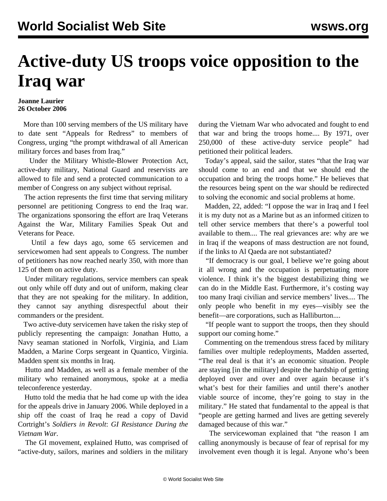## **Active-duty US troops voice opposition to the Iraq war**

## **Joanne Laurier 26 October 2006**

 More than 100 serving members of the US military have to date sent "Appeals for Redress" to members of Congress, urging "the prompt withdrawal of all American military forces and bases from Iraq."

 Under the Military Whistle-Blower Protection Act, active-duty military, National Guard and reservists are allowed to file and send a protected communication to a member of Congress on any subject without reprisal.

 The action represents the first time that serving military personnel are petitioning Congress to end the Iraq war. The organizations sponsoring the effort are Iraq Veterans Against the War, Military Families Speak Out and Veterans for Peace.

 Until a few days ago, some 65 servicemen and servicewomen had sent appeals to Congress. The number of petitioners has now reached nearly 350, with more than 125 of them on active duty.

 Under military regulations, service members can speak out only while off duty and out of uniform, making clear that they are not speaking for the military. In addition, they cannot say anything disrespectful about their commanders or the president.

 Two active-duty servicemen have taken the risky step of publicly representing the campaign: Jonathan Hutto, a Navy seaman stationed in Norfolk, Virginia, and Liam Madden, a Marine Corps sergeant in Quantico, Virginia. Madden spent six months in Iraq.

 Hutto and Madden, as well as a female member of the military who remained anonymous, spoke at a media teleconference yesterday.

 Hutto told the media that he had come up with the idea for the appeals drive in January 2006. While deployed in a ship off the coast of Iraq he read a copy of David Cortright's *Soldiers in Revolt*: *GI Resistance During the Vietnam War*.

 The GI movement, explained Hutto, was comprised of "active-duty, sailors, marines and soldiers in the military

during the Vietnam War who advocated and fought to end that war and bring the troops home.... By 1971, over 250,000 of these active-duty service people" had petitioned their political leaders.

 Today's appeal, said the sailor, states "that the Iraq war should come to an end and that we should end the occupation and bring the troops home." He believes that the resources being spent on the war should be redirected to solving the economic and social problems at home.

 Madden, 22, added: "I oppose the war in Iraq and I feel it is my duty not as a Marine but as an informed citizen to tell other service members that there's a powerful tool available to them.... The real grievances are: why are we in Iraq if the weapons of mass destruction are not found, if the links to Al Qaeda are not substantiated?

 "If democracy is our goal, I believe we're going about it all wrong and the occupation is perpetuating more violence. I think it's the biggest destabilizing thing we can do in the Middle East. Furthermore, it's costing way too many Iraqi civilian and service members' lives.... The only people who benefit in my eyes—visibly see the benefit—are corporations, such as Halliburton....

 "If people want to support the troops, then they should support our coming home."

 Commenting on the tremendous stress faced by military families over multiple redeployments, Madden asserted, "The real deal is that it's an economic situation. People are staying [in the military] despite the hardship of getting deployed over and over and over again because it's what's best for their families and until there's another viable source of income, they're going to stay in the military." He stated that fundamental to the appeal is that "people are getting harmed and lives are getting severely damaged because of this war."

 The servicewoman explained that "the reason I am calling anonymously is because of fear of reprisal for my involvement even though it is legal. Anyone who's been